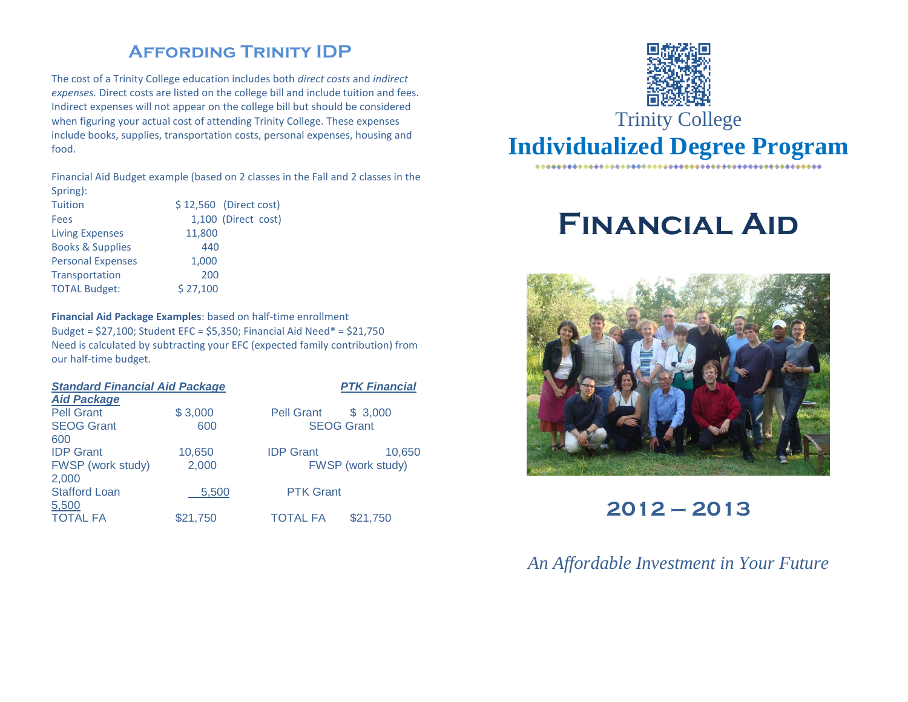## **Affording Trinity IDP**

The cost of a Trinity College education includes both *direct costs* and *indirect expenses.* Direct costs are listed on the college bill and include tuition and fees. Indirect expenses will not appear on the college bill but should be considered when figuring your actual cost of attending Trinity College. These expenses include books, supplies, transportation costs, personal expenses, housing and food.

Financial Aid Budget example (based on 2 classes in the Fall and 2 classes in the Spring):

| <b>Tuition</b>              | \$12,560 (Direct cost) |
|-----------------------------|------------------------|
| Fees                        | 1,100 (Direct cost)    |
| <b>Living Expenses</b>      | 11,800                 |
| <b>Books &amp; Supplies</b> | 440                    |
| <b>Personal Expenses</b>    | 1,000                  |
| Transportation              | 200                    |
| <b>TOTAL Budget:</b>        | \$27,100               |

**Financial Aid Package Examples**: based on half-time enrollment Budget = \$27,100; Student EFC = \$5,350; Financial Aid Need\* = \$21,750 Need is calculated by subtracting your EFC (expected family contribution) from our half-time budget.

| <b>Standard Financial Aid Package</b> |          |                   | <b>PTK Financial</b> |
|---------------------------------------|----------|-------------------|----------------------|
| <b>Aid Package</b>                    |          |                   |                      |
| <b>Pell Grant</b>                     | \$3,000  | <b>Pell Grant</b> | \$3.000              |
| <b>SEOG Grant</b>                     | 600      | <b>SEOG Grant</b> |                      |
| 600                                   |          |                   |                      |
| <b>IDP</b> Grant                      | 10,650   | <b>IDP</b> Grant  | 10,650               |
| FWSP (work study)                     | 2,000    | FWSP (work study) |                      |
| 2,000                                 |          |                   |                      |
| <b>Stafford Loan</b>                  | 5,500    | <b>PTK Grant</b>  |                      |
| 5,500                                 |          |                   |                      |
| <b>TOTAL FA</b>                       | \$21,750 | <b>TOTAL FA</b>   | \$21,750             |



# **Financial Aid**



**2012 – 2013**

*An Affordable Investment in Your Future*